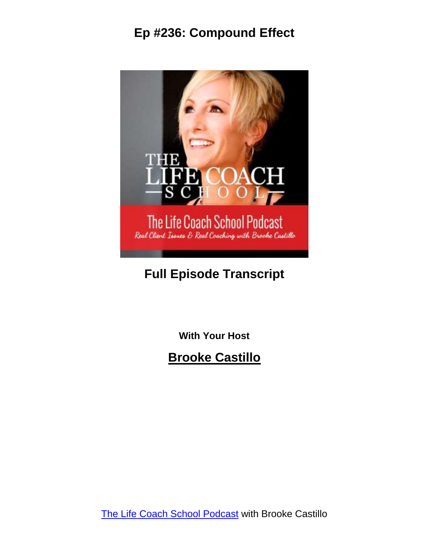

# **Full Episode Transcript**

**With Your Host**

**Brooke Castillo**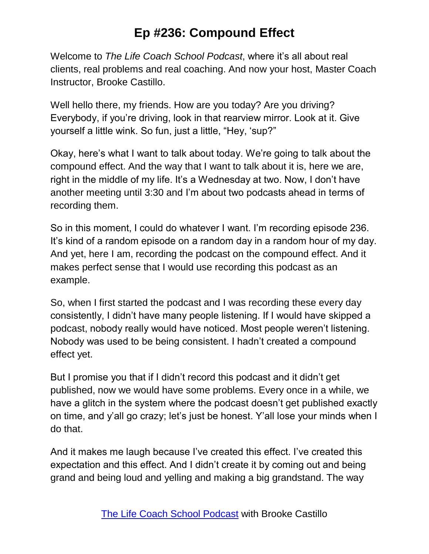Welcome to *The Life Coach School Podcast*, where it's all about real clients, real problems and real coaching. And now your host, Master Coach Instructor, Brooke Castillo.

Well hello there, my friends. How are you today? Are you driving? Everybody, if you're driving, look in that rearview mirror. Look at it. Give yourself a little wink. So fun, just a little, "Hey, 'sup?"

Okay, here's what I want to talk about today. We're going to talk about the compound effect. And the way that I want to talk about it is, here we are, right in the middle of my life. It's a Wednesday at two. Now, I don't have another meeting until 3:30 and I'm about two podcasts ahead in terms of recording them.

So in this moment, I could do whatever I want. I'm recording episode 236. It's kind of a random episode on a random day in a random hour of my day. And yet, here I am, recording the podcast on the compound effect. And it makes perfect sense that I would use recording this podcast as an example.

So, when I first started the podcast and I was recording these every day consistently, I didn't have many people listening. If I would have skipped a podcast, nobody really would have noticed. Most people weren't listening. Nobody was used to be being consistent. I hadn't created a compound effect yet.

But I promise you that if I didn't record this podcast and it didn't get published, now we would have some problems. Every once in a while, we have a glitch in the system where the podcast doesn't get published exactly on time, and y'all go crazy; let's just be honest. Y'all lose your minds when I do that.

And it makes me laugh because I've created this effect. I've created this expectation and this effect. And I didn't create it by coming out and being grand and being loud and yelling and making a big grandstand. The way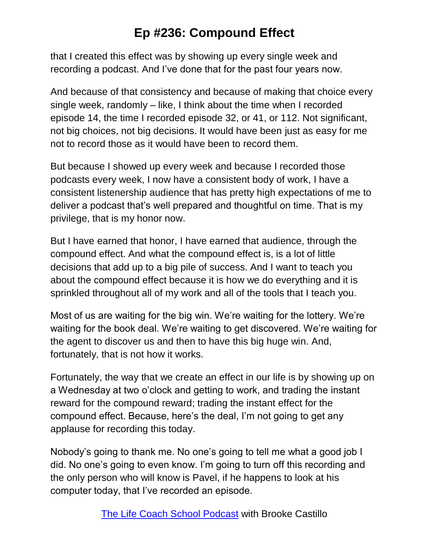that I created this effect was by showing up every single week and recording a podcast. And I've done that for the past four years now.

And because of that consistency and because of making that choice every single week, randomly – like, I think about the time when I recorded episode 14, the time I recorded episode 32, or 41, or 112. Not significant, not big choices, not big decisions. It would have been just as easy for me not to record those as it would have been to record them.

But because I showed up every week and because I recorded those podcasts every week, I now have a consistent body of work, I have a consistent listenership audience that has pretty high expectations of me to deliver a podcast that's well prepared and thoughtful on time. That is my privilege, that is my honor now.

But I have earned that honor, I have earned that audience, through the compound effect. And what the compound effect is, is a lot of little decisions that add up to a big pile of success. And I want to teach you about the compound effect because it is how we do everything and it is sprinkled throughout all of my work and all of the tools that I teach you.

Most of us are waiting for the big win. We're waiting for the lottery. We're waiting for the book deal. We're waiting to get discovered. We're waiting for the agent to discover us and then to have this big huge win. And, fortunately, that is not how it works.

Fortunately, the way that we create an effect in our life is by showing up on a Wednesday at two o'clock and getting to work, and trading the instant reward for the compound reward; trading the instant effect for the compound effect. Because, here's the deal, I'm not going to get any applause for recording this today.

Nobody's going to thank me. No one's going to tell me what a good job I did. No one's going to even know. I'm going to turn off this recording and the only person who will know is Pavel, if he happens to look at his computer today, that I've recorded an episode.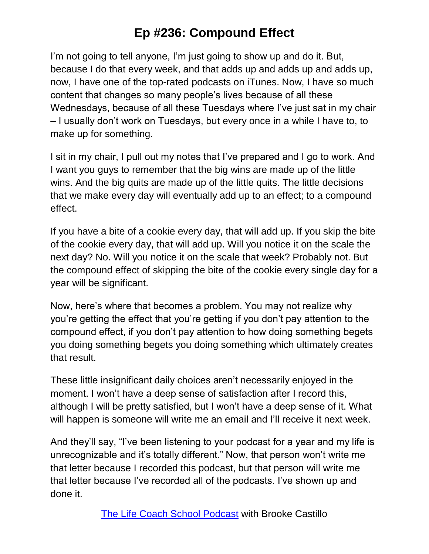I'm not going to tell anyone, I'm just going to show up and do it. But, because I do that every week, and that adds up and adds up and adds up, now, I have one of the top-rated podcasts on iTunes. Now, I have so much content that changes so many people's lives because of all these Wednesdays, because of all these Tuesdays where I've just sat in my chair – I usually don't work on Tuesdays, but every once in a while I have to, to make up for something.

I sit in my chair, I pull out my notes that I've prepared and I go to work. And I want you guys to remember that the big wins are made up of the little wins. And the big quits are made up of the little quits. The little decisions that we make every day will eventually add up to an effect; to a compound effect.

If you have a bite of a cookie every day, that will add up. If you skip the bite of the cookie every day, that will add up. Will you notice it on the scale the next day? No. Will you notice it on the scale that week? Probably not. But the compound effect of skipping the bite of the cookie every single day for a year will be significant.

Now, here's where that becomes a problem. You may not realize why you're getting the effect that you're getting if you don't pay attention to the compound effect, if you don't pay attention to how doing something begets you doing something begets you doing something which ultimately creates that result.

These little insignificant daily choices aren't necessarily enjoyed in the moment. I won't have a deep sense of satisfaction after I record this, although I will be pretty satisfied, but I won't have a deep sense of it. What will happen is someone will write me an email and I'll receive it next week.

And they'll say, "I've been listening to your podcast for a year and my life is unrecognizable and it's totally different." Now, that person won't write me that letter because I recorded this podcast, but that person will write me that letter because I've recorded all of the podcasts. I've shown up and done it.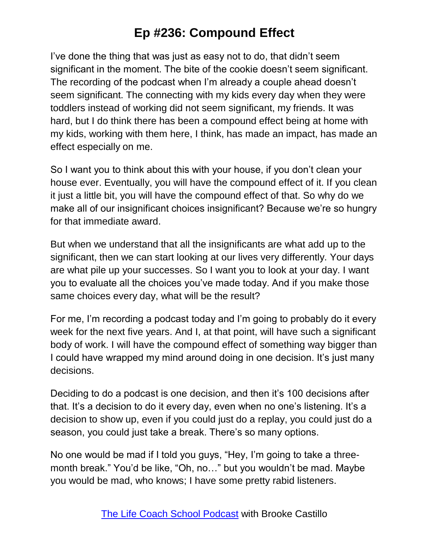I've done the thing that was just as easy not to do, that didn't seem significant in the moment. The bite of the cookie doesn't seem significant. The recording of the podcast when I'm already a couple ahead doesn't seem significant. The connecting with my kids every day when they were toddlers instead of working did not seem significant, my friends. It was hard, but I do think there has been a compound effect being at home with my kids, working with them here, I think, has made an impact, has made an effect especially on me.

So I want you to think about this with your house, if you don't clean your house ever. Eventually, you will have the compound effect of it. If you clean it just a little bit, you will have the compound effect of that. So why do we make all of our insignificant choices insignificant? Because we're so hungry for that immediate award.

But when we understand that all the insignificants are what add up to the significant, then we can start looking at our lives very differently. Your days are what pile up your successes. So I want you to look at your day. I want you to evaluate all the choices you've made today. And if you make those same choices every day, what will be the result?

For me, I'm recording a podcast today and I'm going to probably do it every week for the next five years. And I, at that point, will have such a significant body of work. I will have the compound effect of something way bigger than I could have wrapped my mind around doing in one decision. It's just many decisions.

Deciding to do a podcast is one decision, and then it's 100 decisions after that. It's a decision to do it every day, even when no one's listening. It's a decision to show up, even if you could just do a replay, you could just do a season, you could just take a break. There's so many options.

No one would be mad if I told you guys, "Hey, I'm going to take a threemonth break." You'd be like, "Oh, no…" but you wouldn't be mad. Maybe you would be mad, who knows; I have some pretty rabid listeners.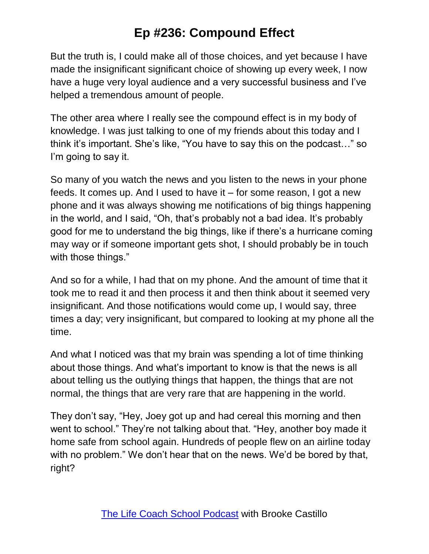But the truth is, I could make all of those choices, and yet because I have made the insignificant significant choice of showing up every week, I now have a huge very loyal audience and a very successful business and I've helped a tremendous amount of people.

The other area where I really see the compound effect is in my body of knowledge. I was just talking to one of my friends about this today and I think it's important. She's like, "You have to say this on the podcast…" so I'm going to say it.

So many of you watch the news and you listen to the news in your phone feeds. It comes up. And I used to have it – for some reason, I got a new phone and it was always showing me notifications of big things happening in the world, and I said, "Oh, that's probably not a bad idea. It's probably good for me to understand the big things, like if there's a hurricane coming may way or if someone important gets shot, I should probably be in touch with those things."

And so for a while, I had that on my phone. And the amount of time that it took me to read it and then process it and then think about it seemed very insignificant. And those notifications would come up, I would say, three times a day; very insignificant, but compared to looking at my phone all the time.

And what I noticed was that my brain was spending a lot of time thinking about those things. And what's important to know is that the news is all about telling us the outlying things that happen, the things that are not normal, the things that are very rare that are happening in the world.

They don't say, "Hey, Joey got up and had cereal this morning and then went to school." They're not talking about that. "Hey, another boy made it home safe from school again. Hundreds of people flew on an airline today with no problem." We don't hear that on the news. We'd be bored by that, right?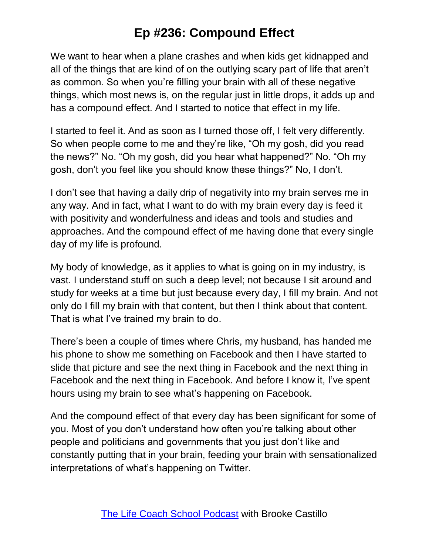We want to hear when a plane crashes and when kids get kidnapped and all of the things that are kind of on the outlying scary part of life that aren't as common. So when you're filling your brain with all of these negative things, which most news is, on the regular just in little drops, it adds up and has a compound effect. And I started to notice that effect in my life.

I started to feel it. And as soon as I turned those off, I felt very differently. So when people come to me and they're like, "Oh my gosh, did you read the news?" No. "Oh my gosh, did you hear what happened?" No. "Oh my gosh, don't you feel like you should know these things?" No, I don't.

I don't see that having a daily drip of negativity into my brain serves me in any way. And in fact, what I want to do with my brain every day is feed it with positivity and wonderfulness and ideas and tools and studies and approaches. And the compound effect of me having done that every single day of my life is profound.

My body of knowledge, as it applies to what is going on in my industry, is vast. I understand stuff on such a deep level; not because I sit around and study for weeks at a time but just because every day, I fill my brain. And not only do I fill my brain with that content, but then I think about that content. That is what I've trained my brain to do.

There's been a couple of times where Chris, my husband, has handed me his phone to show me something on Facebook and then I have started to slide that picture and see the next thing in Facebook and the next thing in Facebook and the next thing in Facebook. And before I know it, I've spent hours using my brain to see what's happening on Facebook.

And the compound effect of that every day has been significant for some of you. Most of you don't understand how often you're talking about other people and politicians and governments that you just don't like and constantly putting that in your brain, feeding your brain with sensationalized interpretations of what's happening on Twitter.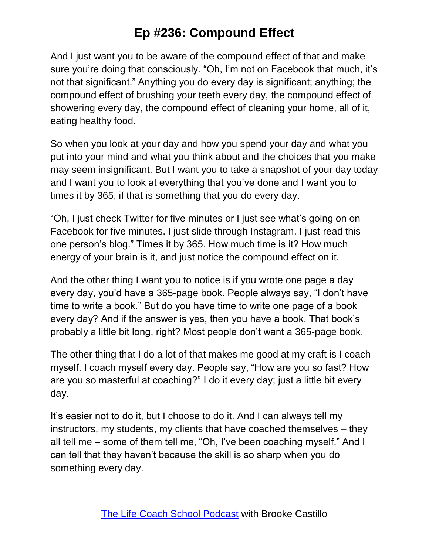And I just want you to be aware of the compound effect of that and make sure you're doing that consciously. "Oh, I'm not on Facebook that much, it's not that significant." Anything you do every day is significant; anything; the compound effect of brushing your teeth every day, the compound effect of showering every day, the compound effect of cleaning your home, all of it, eating healthy food.

So when you look at your day and how you spend your day and what you put into your mind and what you think about and the choices that you make may seem insignificant. But I want you to take a snapshot of your day today and I want you to look at everything that you've done and I want you to times it by 365, if that is something that you do every day.

"Oh, I just check Twitter for five minutes or I just see what's going on on Facebook for five minutes. I just slide through Instagram. I just read this one person's blog." Times it by 365. How much time is it? How much energy of your brain is it, and just notice the compound effect on it.

And the other thing I want you to notice is if you wrote one page a day every day, you'd have a 365-page book. People always say, "I don't have time to write a book." But do you have time to write one page of a book every day? And if the answer is yes, then you have a book. That book's probably a little bit long, right? Most people don't want a 365-page book.

The other thing that I do a lot of that makes me good at my craft is I coach myself. I coach myself every day. People say, "How are you so fast? How are you so masterful at coaching?" I do it every day; just a little bit every day.

It's easier not to do it, but I choose to do it. And I can always tell my instructors, my students, my clients that have coached themselves – they all tell me – some of them tell me, "Oh, I've been coaching myself." And I can tell that they haven't because the skill is so sharp when you do something every day.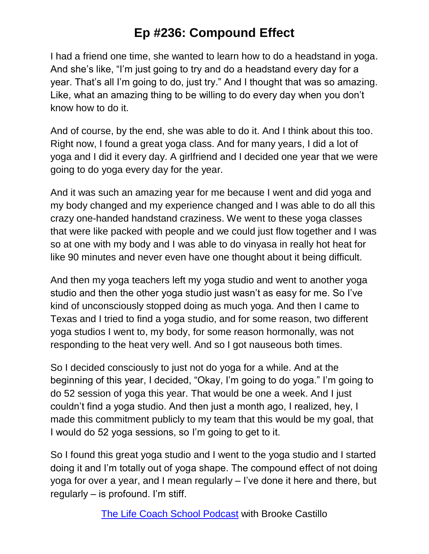I had a friend one time, she wanted to learn how to do a headstand in yoga. And she's like, "I'm just going to try and do a headstand every day for a year. That's all I'm going to do, just try." And I thought that was so amazing. Like, what an amazing thing to be willing to do every day when you don't know how to do it.

And of course, by the end, she was able to do it. And I think about this too. Right now, I found a great yoga class. And for many years, I did a lot of yoga and I did it every day. A girlfriend and I decided one year that we were going to do yoga every day for the year.

And it was such an amazing year for me because I went and did yoga and my body changed and my experience changed and I was able to do all this crazy one-handed handstand craziness. We went to these yoga classes that were like packed with people and we could just flow together and I was so at one with my body and I was able to do vinyasa in really hot heat for like 90 minutes and never even have one thought about it being difficult.

And then my yoga teachers left my yoga studio and went to another yoga studio and then the other yoga studio just wasn't as easy for me. So I've kind of unconsciously stopped doing as much yoga. And then I came to Texas and I tried to find a yoga studio, and for some reason, two different yoga studios I went to, my body, for some reason hormonally, was not responding to the heat very well. And so I got nauseous both times.

So I decided consciously to just not do yoga for a while. And at the beginning of this year, I decided, "Okay, I'm going to do yoga." I'm going to do 52 session of yoga this year. That would be one a week. And I just couldn't find a yoga studio. And then just a month ago, I realized, hey, I made this commitment publicly to my team that this would be my goal, that I would do 52 yoga sessions, so I'm going to get to it.

So I found this great yoga studio and I went to the yoga studio and I started doing it and I'm totally out of yoga shape. The compound effect of not doing yoga for over a year, and I mean regularly – I've done it here and there, but regularly – is profound. I'm stiff.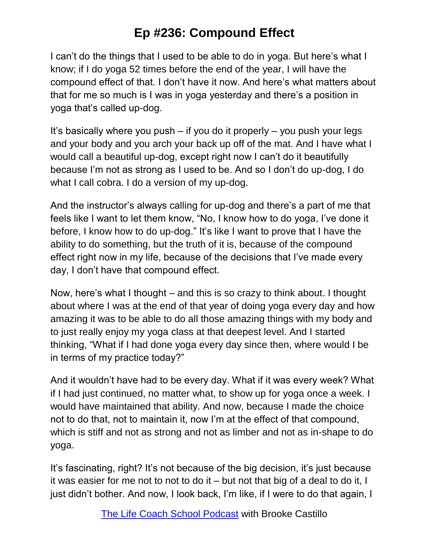I can't do the things that I used to be able to do in yoga. But here's what I know; if I do yoga 52 times before the end of the year, I will have the compound effect of that. I don't have it now. And here's what matters about that for me so much is I was in yoga yesterday and there's a position in yoga that's called up-dog.

It's basically where you push  $-$  if you do it properly  $-$  you push your legs and your body and you arch your back up off of the mat. And I have what I would call a beautiful up-dog, except right now I can't do it beautifully because I'm not as strong as I used to be. And so I don't do up-dog, I do what I call cobra. I do a version of my up-dog.

And the instructor's always calling for up-dog and there's a part of me that feels like I want to let them know, "No, I know how to do yoga, I've done it before, I know how to do up-dog." It's like I want to prove that I have the ability to do something, but the truth of it is, because of the compound effect right now in my life, because of the decisions that I've made every day, I don't have that compound effect.

Now, here's what I thought – and this is so crazy to think about. I thought about where I was at the end of that year of doing yoga every day and how amazing it was to be able to do all those amazing things with my body and to just really enjoy my yoga class at that deepest level. And I started thinking, "What if I had done yoga every day since then, where would I be in terms of my practice today?"

And it wouldn't have had to be every day. What if it was every week? What if I had just continued, no matter what, to show up for yoga once a week. I would have maintained that ability. And now, because I made the choice not to do that, not to maintain it, now I'm at the effect of that compound, which is stiff and not as strong and not as limber and not as in-shape to do yoga.

It's fascinating, right? It's not because of the big decision, it's just because it was easier for me not to not to do it – but not that big of a deal to do it, I just didn't bother. And now, I look back, I'm like, if I were to do that again, I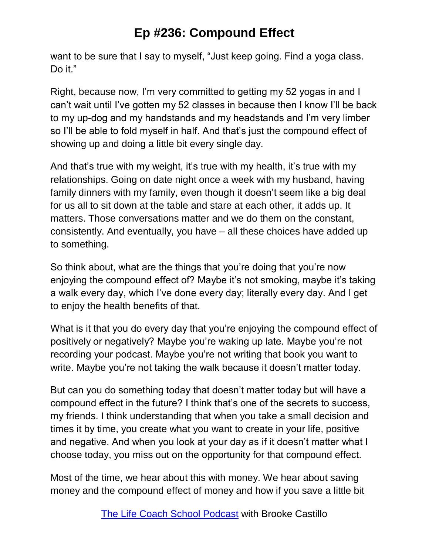want to be sure that I say to myself, "Just keep going. Find a yoga class. Do it."

Right, because now, I'm very committed to getting my 52 yogas in and I can't wait until I've gotten my 52 classes in because then I know I'll be back to my up-dog and my handstands and my headstands and I'm very limber so I'll be able to fold myself in half. And that's just the compound effect of showing up and doing a little bit every single day.

And that's true with my weight, it's true with my health, it's true with my relationships. Going on date night once a week with my husband, having family dinners with my family, even though it doesn't seem like a big deal for us all to sit down at the table and stare at each other, it adds up. It matters. Those conversations matter and we do them on the constant, consistently. And eventually, you have – all these choices have added up to something.

So think about, what are the things that you're doing that you're now enjoying the compound effect of? Maybe it's not smoking, maybe it's taking a walk every day, which I've done every day; literally every day. And I get to enjoy the health benefits of that.

What is it that you do every day that you're enjoying the compound effect of positively or negatively? Maybe you're waking up late. Maybe you're not recording your podcast. Maybe you're not writing that book you want to write. Maybe you're not taking the walk because it doesn't matter today.

But can you do something today that doesn't matter today but will have a compound effect in the future? I think that's one of the secrets to success, my friends. I think understanding that when you take a small decision and times it by time, you create what you want to create in your life, positive and negative. And when you look at your day as if it doesn't matter what I choose today, you miss out on the opportunity for that compound effect.

Most of the time, we hear about this with money. We hear about saving money and the compound effect of money and how if you save a little bit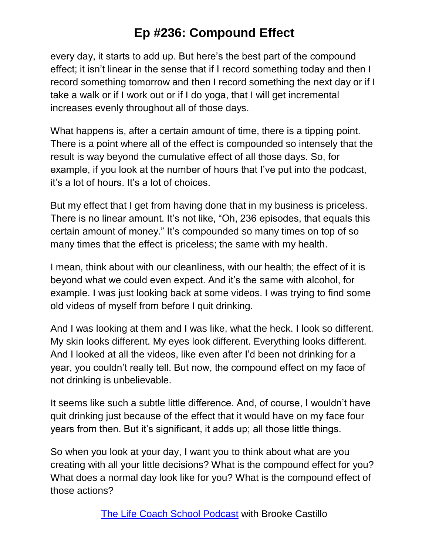every day, it starts to add up. But here's the best part of the compound effect; it isn't linear in the sense that if I record something today and then I record something tomorrow and then I record something the next day or if I take a walk or if I work out or if I do yoga, that I will get incremental increases evenly throughout all of those days.

What happens is, after a certain amount of time, there is a tipping point. There is a point where all of the effect is compounded so intensely that the result is way beyond the cumulative effect of all those days. So, for example, if you look at the number of hours that I've put into the podcast, it's a lot of hours. It's a lot of choices.

But my effect that I get from having done that in my business is priceless. There is no linear amount. It's not like, "Oh, 236 episodes, that equals this certain amount of money." It's compounded so many times on top of so many times that the effect is priceless; the same with my health.

I mean, think about with our cleanliness, with our health; the effect of it is beyond what we could even expect. And it's the same with alcohol, for example. I was just looking back at some videos. I was trying to find some old videos of myself from before I quit drinking.

And I was looking at them and I was like, what the heck. I look so different. My skin looks different. My eyes look different. Everything looks different. And I looked at all the videos, like even after I'd been not drinking for a year, you couldn't really tell. But now, the compound effect on my face of not drinking is unbelievable.

It seems like such a subtle little difference. And, of course, I wouldn't have quit drinking just because of the effect that it would have on my face four years from then. But it's significant, it adds up; all those little things.

So when you look at your day, I want you to think about what are you creating with all your little decisions? What is the compound effect for you? What does a normal day look like for you? What is the compound effect of those actions?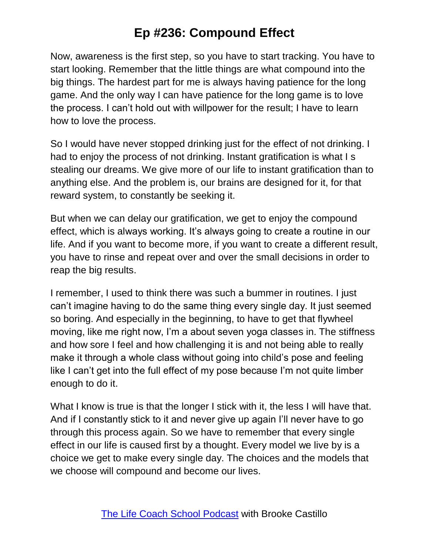Now, awareness is the first step, so you have to start tracking. You have to start looking. Remember that the little things are what compound into the big things. The hardest part for me is always having patience for the long game. And the only way I can have patience for the long game is to love the process. I can't hold out with willpower for the result; I have to learn how to love the process.

So I would have never stopped drinking just for the effect of not drinking. I had to enjoy the process of not drinking. Instant gratification is what I s stealing our dreams. We give more of our life to instant gratification than to anything else. And the problem is, our brains are designed for it, for that reward system, to constantly be seeking it.

But when we can delay our gratification, we get to enjoy the compound effect, which is always working. It's always going to create a routine in our life. And if you want to become more, if you want to create a different result, you have to rinse and repeat over and over the small decisions in order to reap the big results.

I remember, I used to think there was such a bummer in routines. I just can't imagine having to do the same thing every single day. It just seemed so boring. And especially in the beginning, to have to get that flywheel moving, like me right now, I'm a about seven yoga classes in. The stiffness and how sore I feel and how challenging it is and not being able to really make it through a whole class without going into child's pose and feeling like I can't get into the full effect of my pose because I'm not quite limber enough to do it.

What I know is true is that the longer I stick with it, the less I will have that. And if I constantly stick to it and never give up again I'll never have to go through this process again. So we have to remember that every single effect in our life is caused first by a thought. Every model we live by is a choice we get to make every single day. The choices and the models that we choose will compound and become our lives.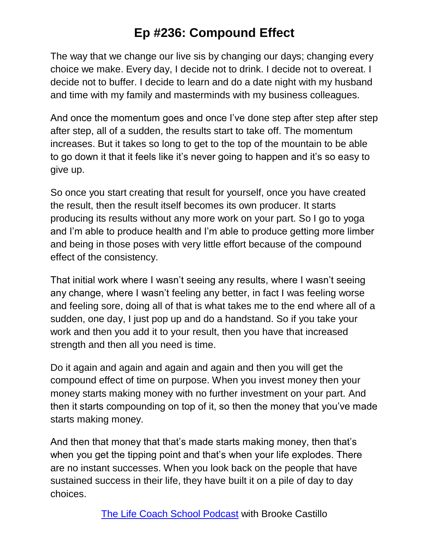The way that we change our live sis by changing our days; changing every choice we make. Every day, I decide not to drink. I decide not to overeat. I decide not to buffer. I decide to learn and do a date night with my husband and time with my family and masterminds with my business colleagues.

And once the momentum goes and once I've done step after step after step after step, all of a sudden, the results start to take off. The momentum increases. But it takes so long to get to the top of the mountain to be able to go down it that it feels like it's never going to happen and it's so easy to give up.

So once you start creating that result for yourself, once you have created the result, then the result itself becomes its own producer. It starts producing its results without any more work on your part. So I go to yoga and I'm able to produce health and I'm able to produce getting more limber and being in those poses with very little effort because of the compound effect of the consistency.

That initial work where I wasn't seeing any results, where I wasn't seeing any change, where I wasn't feeling any better, in fact I was feeling worse and feeling sore, doing all of that is what takes me to the end where all of a sudden, one day, I just pop up and do a handstand. So if you take your work and then you add it to your result, then you have that increased strength and then all you need is time.

Do it again and again and again and again and then you will get the compound effect of time on purpose. When you invest money then your money starts making money with no further investment on your part. And then it starts compounding on top of it, so then the money that you've made starts making money.

And then that money that that's made starts making money, then that's when you get the tipping point and that's when your life explodes. There are no instant successes. When you look back on the people that have sustained success in their life, they have built it on a pile of day to day choices.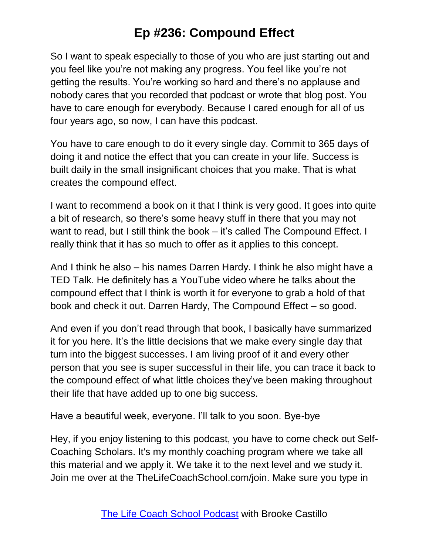So I want to speak especially to those of you who are just starting out and you feel like you're not making any progress. You feel like you're not getting the results. You're working so hard and there's no applause and nobody cares that you recorded that podcast or wrote that blog post. You have to care enough for everybody. Because I cared enough for all of us four years ago, so now, I can have this podcast.

You have to care enough to do it every single day. Commit to 365 days of doing it and notice the effect that you can create in your life. Success is built daily in the small insignificant choices that you make. That is what creates the compound effect.

I want to recommend a book on it that I think is very good. It goes into quite a bit of research, so there's some heavy stuff in there that you may not want to read, but I still think the book – it's called The Compound Effect. I really think that it has so much to offer as it applies to this concept.

And I think he also – his names Darren Hardy. I think he also might have a TED Talk. He definitely has a YouTube video where he talks about the compound effect that I think is worth it for everyone to grab a hold of that book and check it out. Darren Hardy, The Compound Effect – so good.

And even if you don't read through that book, I basically have summarized it for you here. It's the little decisions that we make every single day that turn into the biggest successes. I am living proof of it and every other person that you see is super successful in their life, you can trace it back to the compound effect of what little choices they've been making throughout their life that have added up to one big success.

Have a beautiful week, everyone. I'll talk to you soon. Bye-bye

Hey, if you enjoy listening to this podcast, you have to come check out Self-Coaching Scholars. It's my monthly coaching program where we take all this material and we apply it. We take it to the next level and we study it. Join me over at the TheLifeCoachSchool.com/join. Make sure you type in